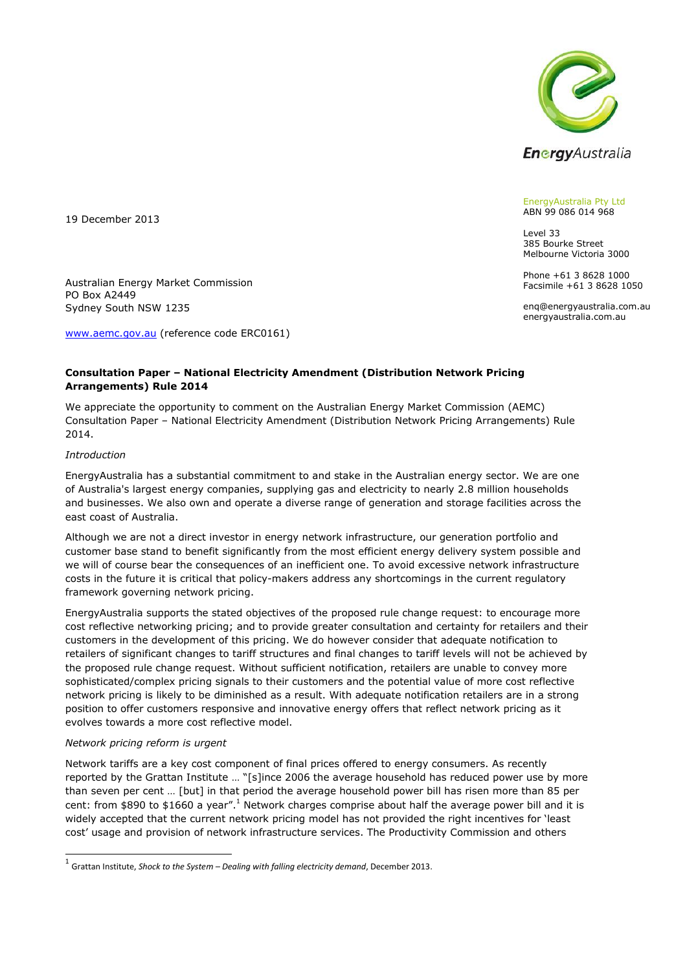

EnergyAustralia Pty Ltd ABN 99 086 014 968

385 Bourke Street Melbourne Victoria 3000 Phone +61 3 8628 1000 Facsimile +61 3 8628 1050 enq@energyaustralia.com.au energyaustralia.com.au

Level 33

19 December 2013

Australian Energy Market Commission PO Box A2449 Sydney South NSW 1235

[www.aemc.gov.au](http://www.aemc.gov.au/) (reference code ERC0161)

# **Consultation Paper – National Electricity Amendment (Distribution Network Pricing Arrangements) Rule 2014**

We appreciate the opportunity to comment on the Australian Energy Market Commission (AEMC) Consultation Paper – National Electricity Amendment (Distribution Network Pricing Arrangements) Rule 2014.

#### *Introduction*

EnergyAustralia has a substantial commitment to and stake in the Australian energy sector. We are one of Australia's largest energy companies, supplying gas and electricity to nearly 2.8 million households and businesses. We also own and operate a diverse range of generation and storage facilities across the east coast of Australia.

Although we are not a direct investor in energy network infrastructure, our generation portfolio and customer base stand to benefit significantly from the most efficient energy delivery system possible and we will of course bear the consequences of an inefficient one. To avoid excessive network infrastructure costs in the future it is critical that policy-makers address any shortcomings in the current regulatory framework governing network pricing.

EnergyAustralia supports the stated objectives of the proposed rule change request: to encourage more cost reflective networking pricing; and to provide greater consultation and certainty for retailers and their customers in the development of this pricing. We do however consider that adequate notification to retailers of significant changes to tariff structures and final changes to tariff levels will not be achieved by the proposed rule change request. Without sufficient notification, retailers are unable to convey more sophisticated/complex pricing signals to their customers and the potential value of more cost reflective network pricing is likely to be diminished as a result. With adequate notification retailers are in a strong position to offer customers responsive and innovative energy offers that reflect network pricing as it evolves towards a more cost reflective model.

#### *Network pricing reform is urgent*

Network tariffs are a key cost component of final prices offered to energy consumers. As recently reported by the Grattan Institute … "[s]ince 2006 the average household has reduced power use by more than seven per cent … [but] in that period the average household power bill has risen more than 85 per cent: from \$890 to \$1660 a year".<sup>1</sup> Network charges comprise about half the average power bill and it is widely accepted that the current network pricing model has not provided the right incentives for 'least cost' usage and provision of network infrastructure services. The Productivity Commission and others

 1 Grattan Institute, *Shock to the System – Dealing with falling electricity demand*, December 2013.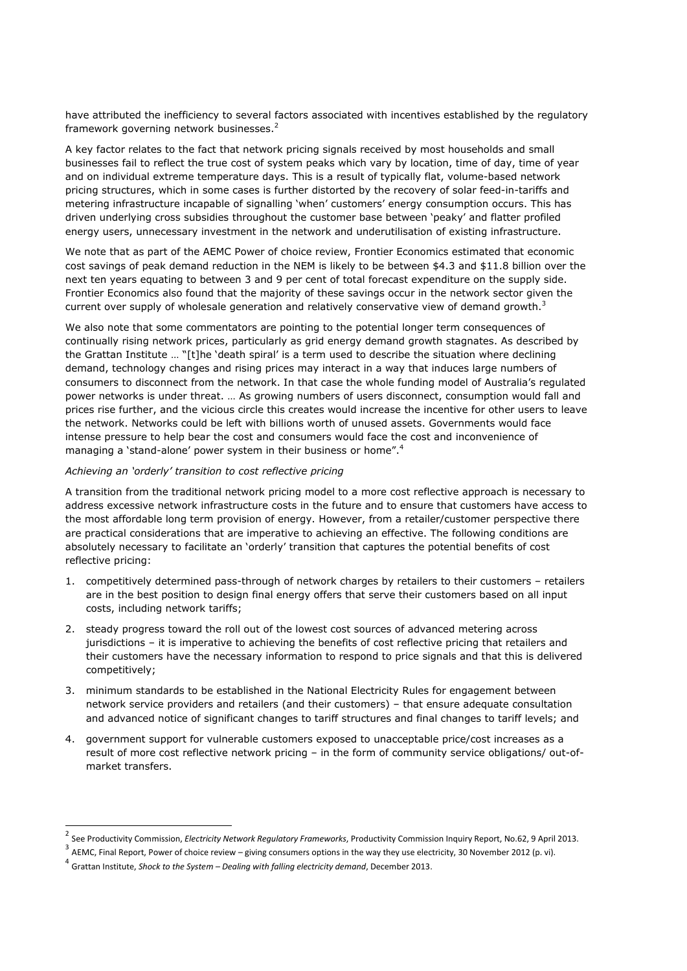have attributed the inefficiency to several factors associated with incentives established by the regulatory framework governing network businesses.<sup>2</sup>

A key factor relates to the fact that network pricing signals received by most households and small businesses fail to reflect the true cost of system peaks which vary by location, time of day, time of year and on individual extreme temperature days. This is a result of typically flat, volume-based network pricing structures, which in some cases is further distorted by the recovery of solar feed-in-tariffs and metering infrastructure incapable of signalling 'when' customers' energy consumption occurs. This has driven underlying cross subsidies throughout the customer base between 'peaky' and flatter profiled energy users, unnecessary investment in the network and underutilisation of existing infrastructure.

We note that as part of the AEMC Power of choice review, Frontier Economics estimated that economic cost savings of peak demand reduction in the NEM is likely to be between \$4.3 and \$11.8 billion over the next ten years equating to between 3 and 9 per cent of total forecast expenditure on the supply side. Frontier Economics also found that the majority of these savings occur in the network sector given the current over supply of wholesale generation and relatively conservative view of demand growth.<sup>3</sup>

We also note that some commentators are pointing to the potential longer term consequences of continually rising network prices, particularly as grid energy demand growth stagnates. As described by the Grattan Institute … "[t]he 'death spiral' is a term used to describe the situation where declining demand, technology changes and rising prices may interact in a way that induces large numbers of consumers to disconnect from the network. In that case the whole funding model of Australia's regulated power networks is under threat. … As growing numbers of users disconnect, consumption would fall and prices rise further, and the vicious circle this creates would increase the incentive for other users to leave the network. Networks could be left with billions worth of unused assets. Governments would face intense pressure to help bear the cost and consumers would face the cost and inconvenience of managing a 'stand-alone' power system in their business or home".<sup>4</sup>

#### *Achieving an 'orderly' transition to cost reflective pricing*

A transition from the traditional network pricing model to a more cost reflective approach is necessary to address excessive network infrastructure costs in the future and to ensure that customers have access to the most affordable long term provision of energy. However, from a retailer/customer perspective there are practical considerations that are imperative to achieving an effective. The following conditions are absolutely necessary to facilitate an 'orderly' transition that captures the potential benefits of cost reflective pricing:

- 1. competitively determined pass-through of network charges by retailers to their customers retailers are in the best position to design final energy offers that serve their customers based on all input costs, including network tariffs;
- 2. steady progress toward the roll out of the lowest cost sources of advanced metering across jurisdictions – it is imperative to achieving the benefits of cost reflective pricing that retailers and their customers have the necessary information to respond to price signals and that this is delivered competitively;
- 3. minimum standards to be established in the National Electricity Rules for engagement between network service providers and retailers (and their customers) – that ensure adequate consultation and advanced notice of significant changes to tariff structures and final changes to tariff levels; and
- 4. government support for vulnerable customers exposed to unacceptable price/cost increases as a result of more cost reflective network pricing – in the form of community service obligations/ out-ofmarket transfers.

-

<sup>2</sup> See Productivity Commission, *Electricity Network Regulatory Frameworks*, Productivity Commission Inquiry Report, No.62, 9 April 2013.

 $^3$  AEMC, Final Report, Power of choice review – giving consumers options in the way they use electricity, 30 November 2012 (p. vi).<br><sup>4</sup> Castra Jactitute, Shack to the Surtany – Darling vith falling algebrish demand. Dec

Grattan Institute, *Shock to the System – Dealing with falling electricity demand*, December 2013.